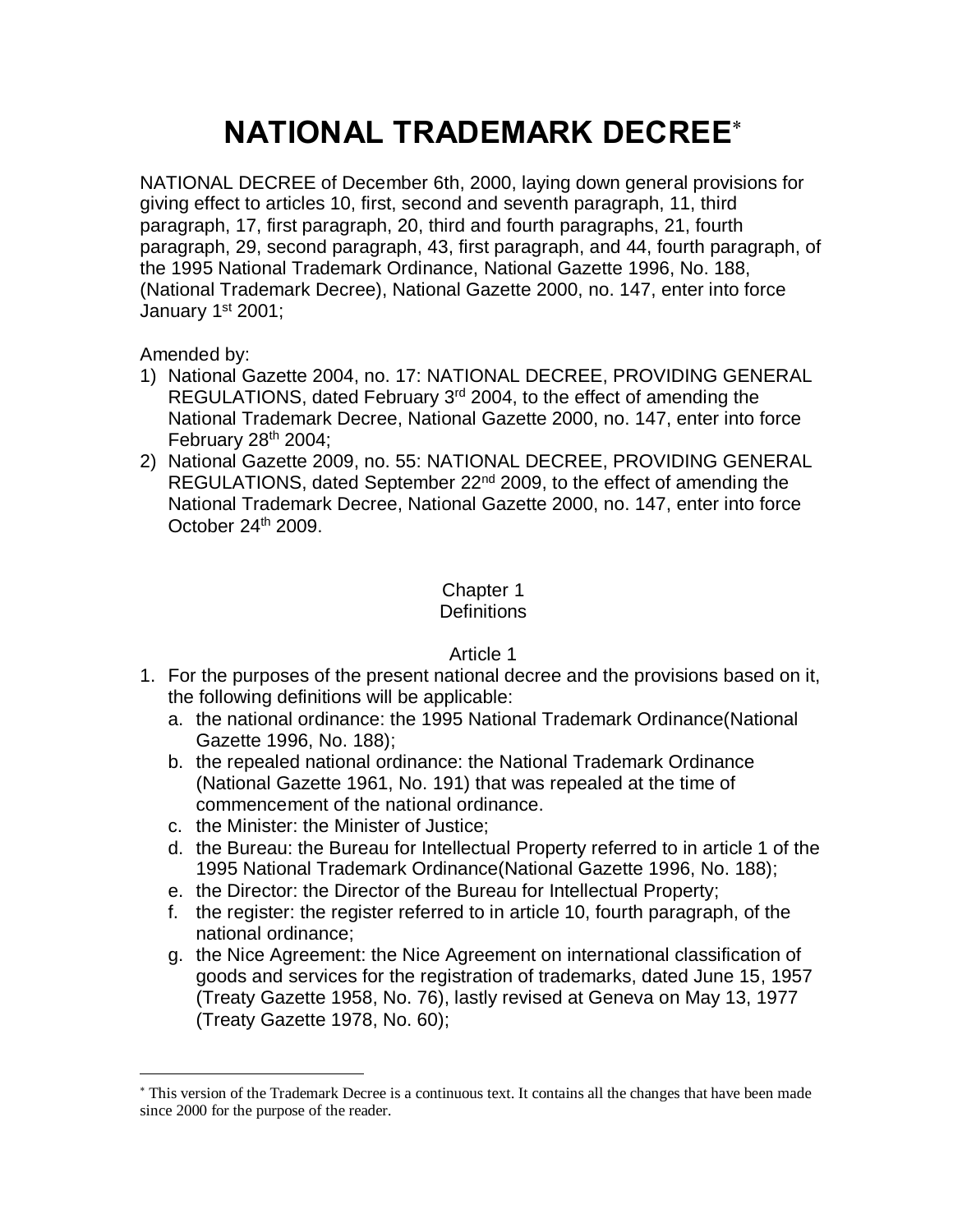# **NATIONAL TRADEMARK DECREE**\*

NATIONAL DECREE of December 6th, 2000, laying down general provisions for giving effect to articles 10, first, second and seventh paragraph, 11, third paragraph, 17, first paragraph, 20, third and fourth paragraphs, 21, fourth paragraph, 29, second paragraph, 43, first paragraph, and 44, fourth paragraph, of the 1995 National Trademark Ordinance, National Gazette 1996, No. 188, (National Trademark Decree), National Gazette 2000, no. 147, enter into force January 1<sup>st</sup> 2001;

Amended by:

 $\overline{a}$ 

- 1) National Gazette 2004, no. 17: NATIONAL DECREE, PROVIDING GENERAL REGULATIONS, dated February 3<sup>rd</sup> 2004, to the effect of amending the National Trademark Decree, National Gazette 2000, no. 147, enter into force February  $28<sup>th</sup> 2004$ ;
- 2) National Gazette 2009, no. 55: NATIONAL DECREE, PROVIDING GENERAL REGULATIONS, dated September 22<sup>nd</sup> 2009, to the effect of amending the National Trademark Decree, National Gazette 2000, no. 147, enter into force October 24<sup>th</sup> 2009.

## Chapter 1

## **Definitions**

- 1. For the purposes of the present national decree and the provisions based on it, the following definitions will be applicable:
	- a. the national ordinance: the 1995 National Trademark Ordinance(National Gazette 1996, No. 188);
	- b. the repealed national ordinance: the National Trademark Ordinance (National Gazette 1961, No. 191) that was repealed at the time of commencement of the national ordinance.
	- c. the Minister: the Minister of Justice;
	- d. the Bureau: the Bureau for Intellectual Property referred to in article 1 of the 1995 National Trademark Ordinance(National Gazette 1996, No. 188);
	- e. the Director: the Director of the Bureau for Intellectual Property;
	- f. the register: the register referred to in article 10, fourth paragraph, of the national ordinance;
	- g. the Nice Agreement: the Nice Agreement on international classification of goods and services for the registration of trademarks, dated June 15, 1957 (Treaty Gazette 1958, No. 76), lastly revised at Geneva on May 13, 1977 (Treaty Gazette 1978, No. 60);

<sup>\*</sup> This version of the Trademark Decree is a continuous text. It contains all the changes that have been made since 2000 for the purpose of the reader.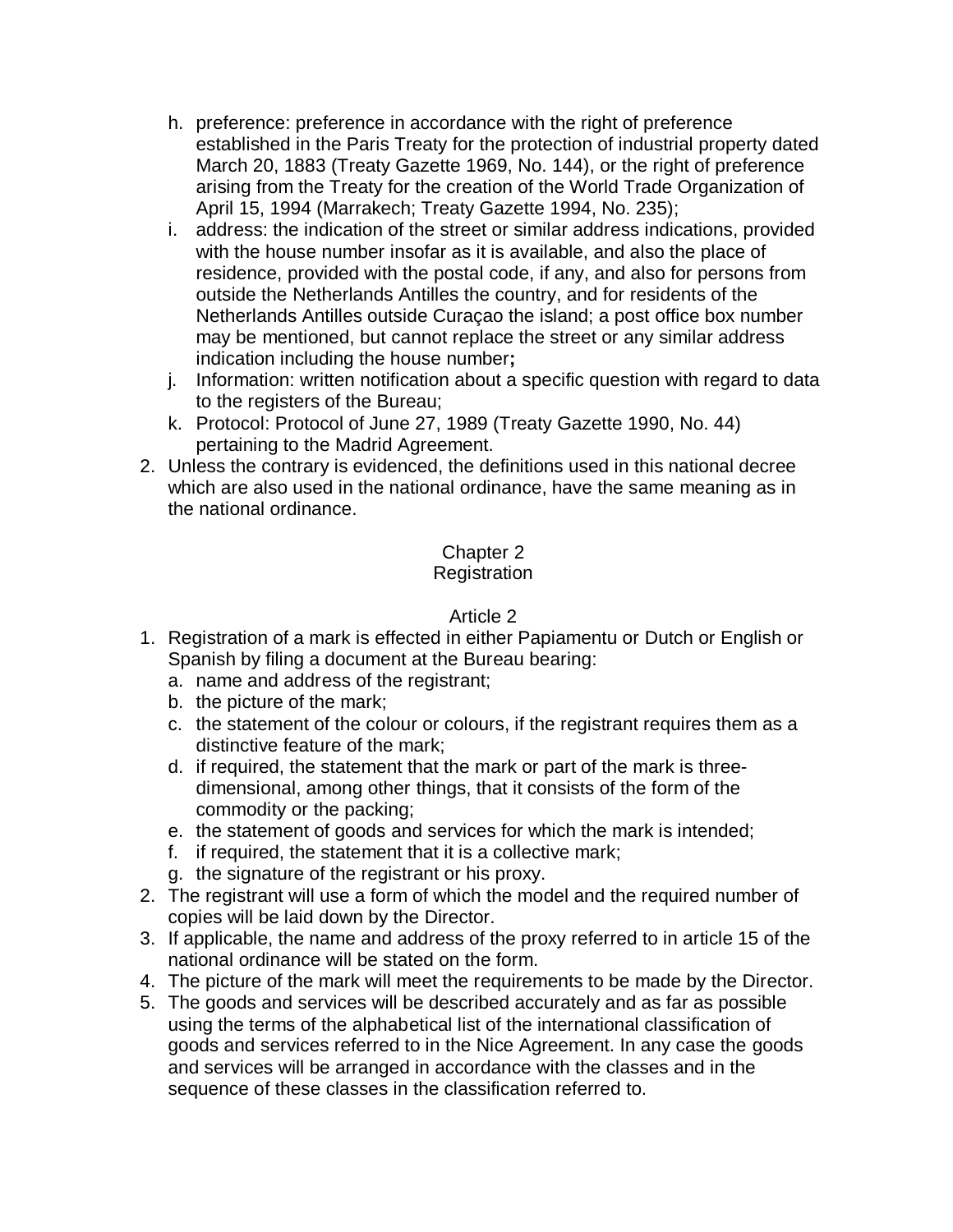- h. preference: preference in accordance with the right of preference established in the Paris Treaty for the protection of industrial property dated March 20, 1883 (Treaty Gazette 1969, No. 144), or the right of preference arising from the Treaty for the creation of the World Trade Organization of April 15, 1994 (Marrakech; Treaty Gazette 1994, No. 235);
- i. address: the indication of the street or similar address indications, provided with the house number insofar as it is available, and also the place of residence, provided with the postal code, if any, and also for persons from outside the Netherlands Antilles the country, and for residents of the Netherlands Antilles outside Curaçao the island; a post office box number may be mentioned, but cannot replace the street or any similar address indication including the house number**;**
- j. Information: written notification about a specific question with regard to data to the registers of the Bureau;
- k. Protocol: Protocol of June 27, 1989 (Treaty Gazette 1990, No. 44) pertaining to the Madrid Agreement.
- 2. Unless the contrary is evidenced, the definitions used in this national decree which are also used in the national ordinance, have the same meaning as in the national ordinance.

## Chapter 2

## **Registration**

- 1. Registration of a mark is effected in either Papiamentu or Dutch or English or Spanish by filing a document at the Bureau bearing:
	- a. name and address of the registrant;
	- b. the picture of the mark;
	- c. the statement of the colour or colours, if the registrant requires them as a distinctive feature of the mark;
	- d. if required, the statement that the mark or part of the mark is threedimensional, among other things, that it consists of the form of the commodity or the packing;
	- e. the statement of goods and services for which the mark is intended;
	- f. if required, the statement that it is a collective mark;
	- g. the signature of the registrant or his proxy.
- 2. The registrant will use a form of which the model and the required number of copies will be laid down by the Director.
- 3. If applicable, the name and address of the proxy referred to in article 15 of the national ordinance will be stated on the form.
- 4. The picture of the mark will meet the requirements to be made by the Director.
- 5. The goods and services will be described accurately and as far as possible using the terms of the alphabetical list of the international classification of goods and services referred to in the Nice Agreement. In any case the goods and services will be arranged in accordance with the classes and in the sequence of these classes in the classification referred to.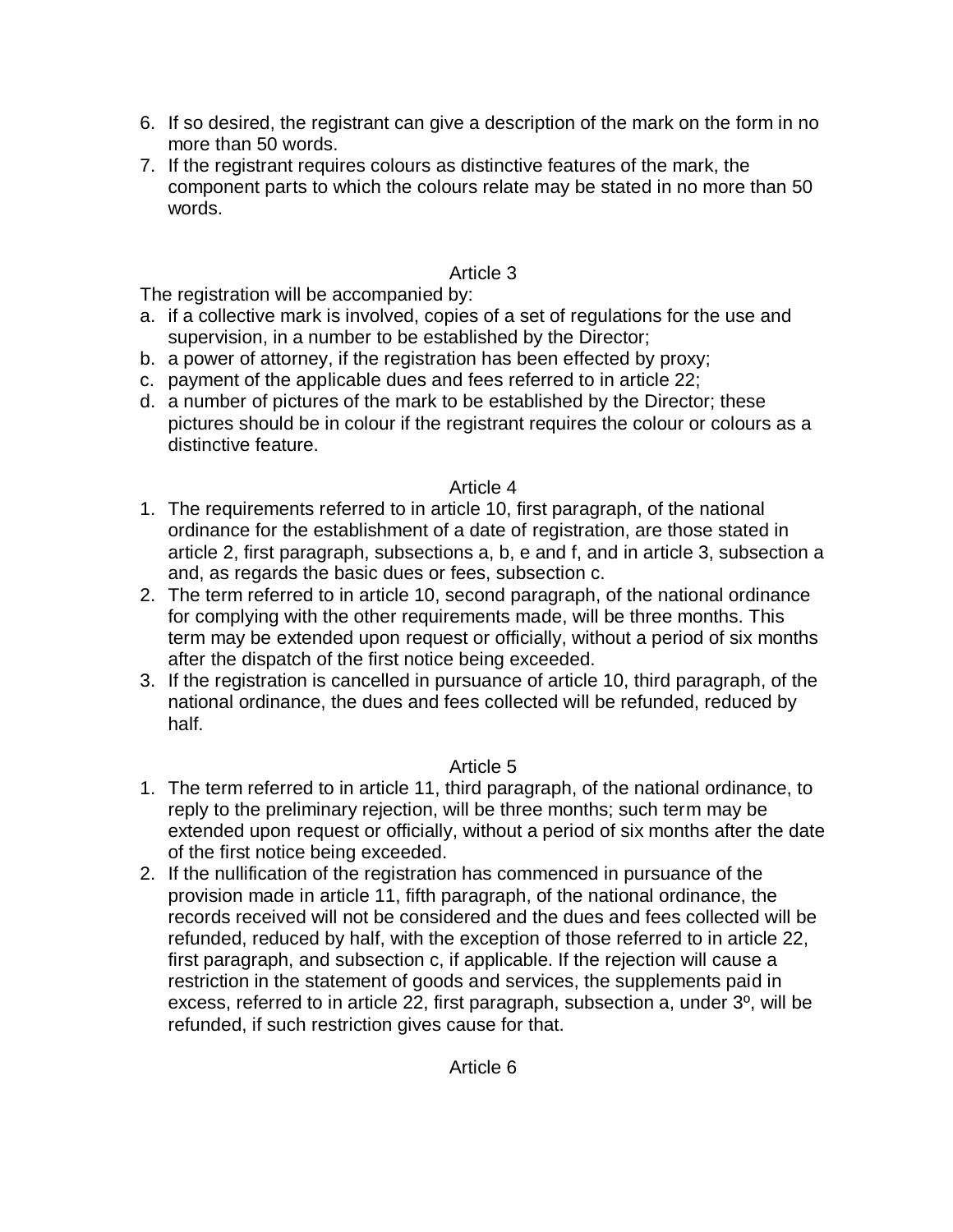- 6. If so desired, the registrant can give a description of the mark on the form in no more than 50 words.
- 7. If the registrant requires colours as distinctive features of the mark, the component parts to which the colours relate may be stated in no more than 50 words.

## Article 3

The registration will be accompanied by:

- a. if a collective mark is involved, copies of a set of regulations for the use and supervision, in a number to be established by the Director;
- b. a power of attorney, if the registration has been effected by proxy;
- c. payment of the applicable dues and fees referred to in article 22;
- d. a number of pictures of the mark to be established by the Director; these pictures should be in colour if the registrant requires the colour or colours as a distinctive feature.

## Article 4

- 1. The requirements referred to in article 10, first paragraph, of the national ordinance for the establishment of a date of registration, are those stated in article 2, first paragraph, subsections a, b, e and f, and in article 3, subsection a and, as regards the basic dues or fees, subsection c.
- 2. The term referred to in article 10, second paragraph, of the national ordinance for complying with the other requirements made, will be three months. This term may be extended upon request or officially, without a period of six months after the dispatch of the first notice being exceeded.
- 3. If the registration is cancelled in pursuance of article 10, third paragraph, of the national ordinance, the dues and fees collected will be refunded, reduced by half.

- 1. The term referred to in article 11, third paragraph, of the national ordinance, to reply to the preliminary rejection, will be three months; such term may be extended upon request or officially, without a period of six months after the date of the first notice being exceeded.
- 2. If the nullification of the registration has commenced in pursuance of the provision made in article 11, fifth paragraph, of the national ordinance, the records received will not be considered and the dues and fees collected will be refunded, reduced by half, with the exception of those referred to in article 22, first paragraph, and subsection c, if applicable. If the rejection will cause a restriction in the statement of goods and services, the supplements paid in excess, referred to in article 22, first paragraph, subsection a, under 3º, will be refunded, if such restriction gives cause for that.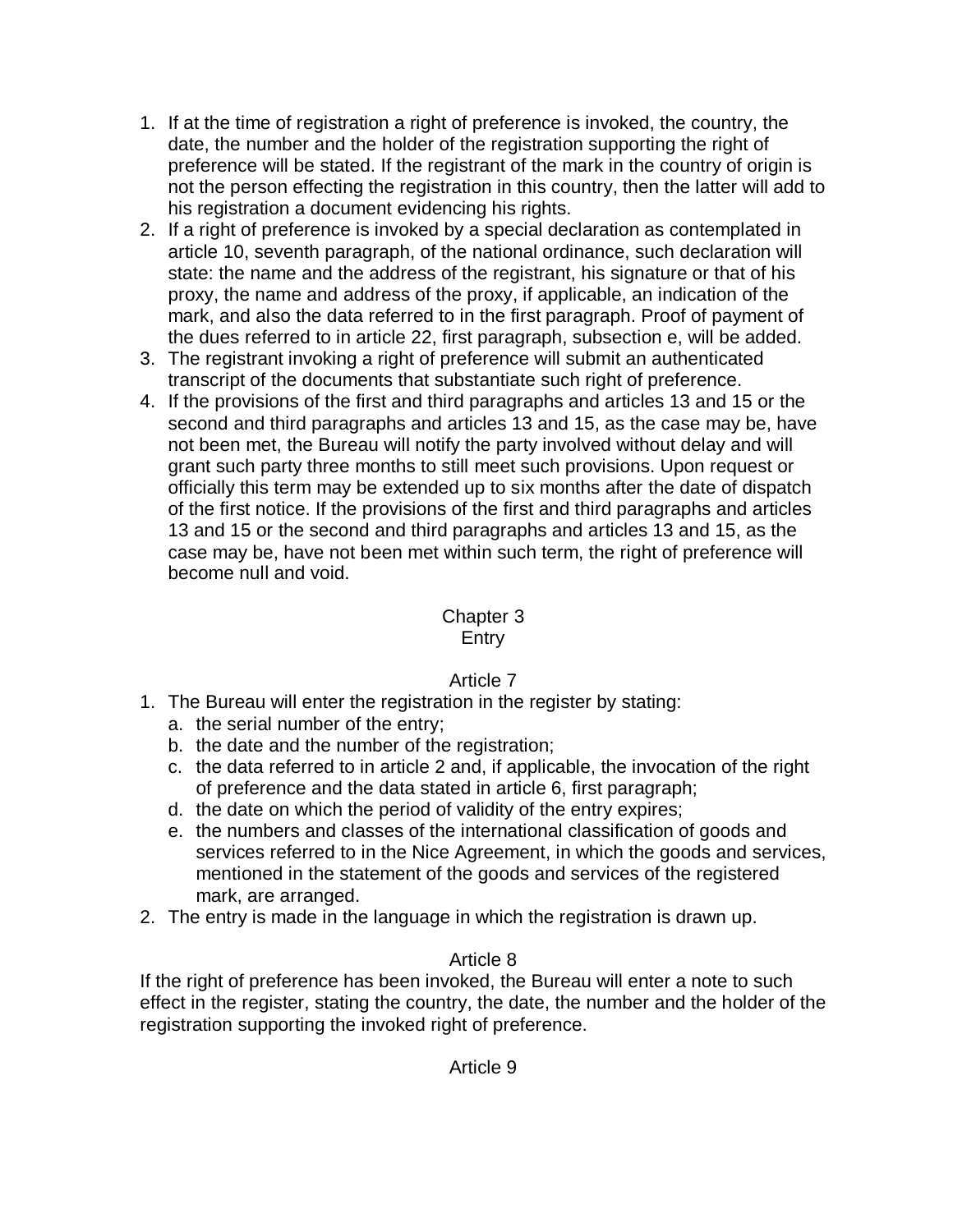- 1. If at the time of registration a right of preference is invoked, the country, the date, the number and the holder of the registration supporting the right of preference will be stated. If the registrant of the mark in the country of origin is not the person effecting the registration in this country, then the latter will add to his registration a document evidencing his rights.
- 2. If a right of preference is invoked by a special declaration as contemplated in article 10, seventh paragraph, of the national ordinance, such declaration will state: the name and the address of the registrant, his signature or that of his proxy, the name and address of the proxy, if applicable, an indication of the mark, and also the data referred to in the first paragraph. Proof of payment of the dues referred to in article 22, first paragraph, subsection e, will be added.
- 3. The registrant invoking a right of preference will submit an authenticated transcript of the documents that substantiate such right of preference.
- 4. If the provisions of the first and third paragraphs and articles 13 and 15 or the second and third paragraphs and articles 13 and 15, as the case may be, have not been met, the Bureau will notify the party involved without delay and will grant such party three months to still meet such provisions. Upon request or officially this term may be extended up to six months after the date of dispatch of the first notice. If the provisions of the first and third paragraphs and articles 13 and 15 or the second and third paragraphs and articles 13 and 15, as the case may be, have not been met within such term, the right of preference will become null and void.

#### Chapter 3 Entry

## Article 7

- 1. The Bureau will enter the registration in the register by stating:
	- a. the serial number of the entry;
	- b. the date and the number of the registration;
	- c. the data referred to in article 2 and, if applicable, the invocation of the right of preference and the data stated in article 6, first paragraph;
	- d. the date on which the period of validity of the entry expires;
	- e. the numbers and classes of the international classification of goods and services referred to in the Nice Agreement, in which the goods and services, mentioned in the statement of the goods and services of the registered mark, are arranged.
- 2. The entry is made in the language in which the registration is drawn up.

## Article 8

If the right of preference has been invoked, the Bureau will enter a note to such effect in the register, stating the country, the date, the number and the holder of the registration supporting the invoked right of preference.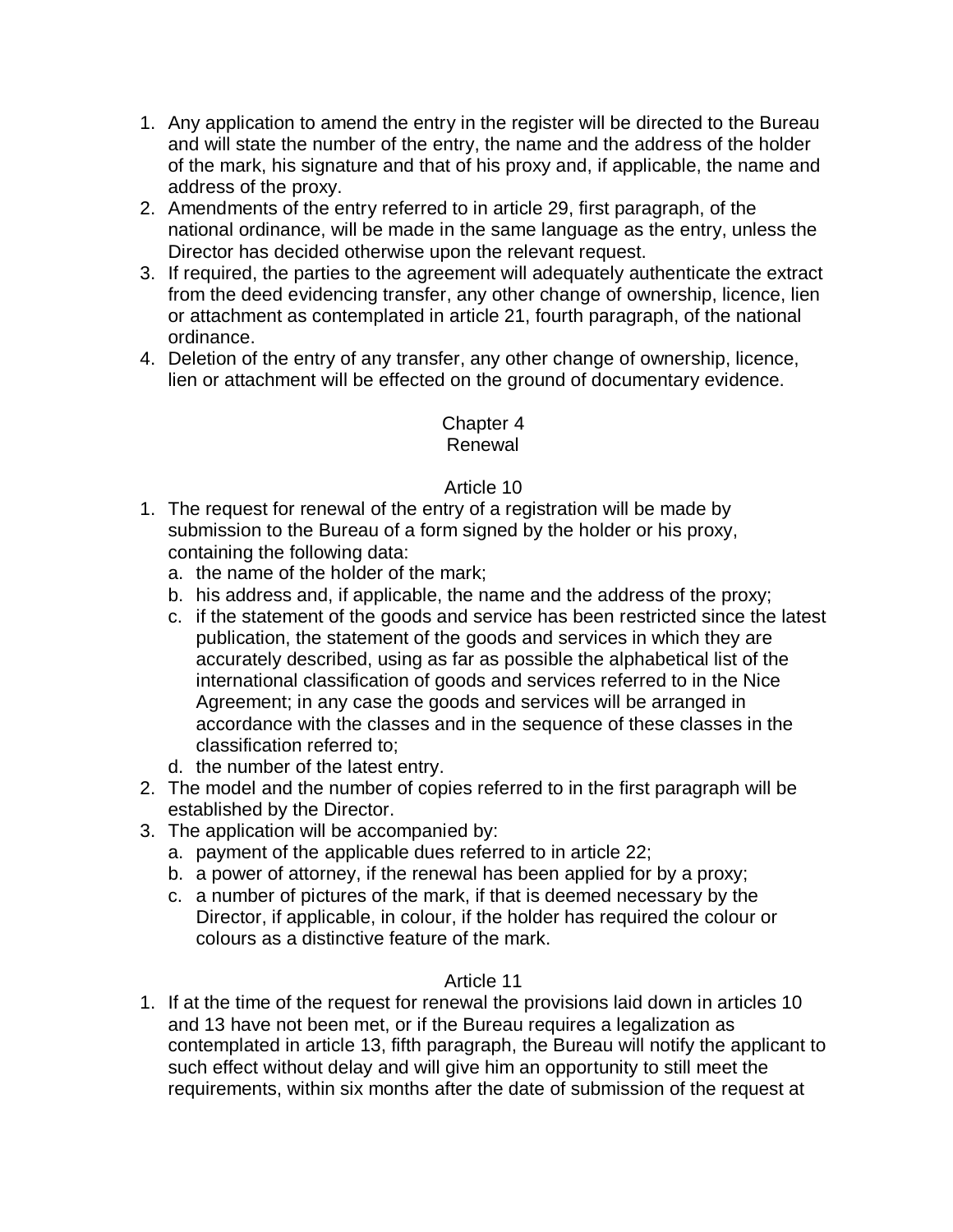- 1. Any application to amend the entry in the register will be directed to the Bureau and will state the number of the entry, the name and the address of the holder of the mark, his signature and that of his proxy and, if applicable, the name and address of the proxy.
- 2. Amendments of the entry referred to in article 29, first paragraph, of the national ordinance, will be made in the same language as the entry, unless the Director has decided otherwise upon the relevant request.
- 3. If required, the parties to the agreement will adequately authenticate the extract from the deed evidencing transfer, any other change of ownership, licence, lien or attachment as contemplated in article 21, fourth paragraph, of the national ordinance.
- 4. Deletion of the entry of any transfer, any other change of ownership, licence, lien or attachment will be effected on the ground of documentary evidence.

#### Chapter 4 Renewal

## Article 10

- 1. The request for renewal of the entry of a registration will be made by submission to the Bureau of a form signed by the holder or his proxy, containing the following data:
	- a. the name of the holder of the mark;
	- b. his address and, if applicable, the name and the address of the proxy;
	- c. if the statement of the goods and service has been restricted since the latest publication, the statement of the goods and services in which they are accurately described, using as far as possible the alphabetical list of the international classification of goods and services referred to in the Nice Agreement; in any case the goods and services will be arranged in accordance with the classes and in the sequence of these classes in the classification referred to;
	- d. the number of the latest entry.
- 2. The model and the number of copies referred to in the first paragraph will be established by the Director.
- 3. The application will be accompanied by:
	- a. payment of the applicable dues referred to in article 22;
	- b. a power of attorney, if the renewal has been applied for by a proxy;
	- c. a number of pictures of the mark, if that is deemed necessary by the Director, if applicable, in colour, if the holder has required the colour or colours as a distinctive feature of the mark.

## Article 11

1. If at the time of the request for renewal the provisions laid down in articles 10 and 13 have not been met, or if the Bureau requires a legalization as contemplated in article 13, fifth paragraph, the Bureau will notify the applicant to such effect without delay and will give him an opportunity to still meet the requirements, within six months after the date of submission of the request at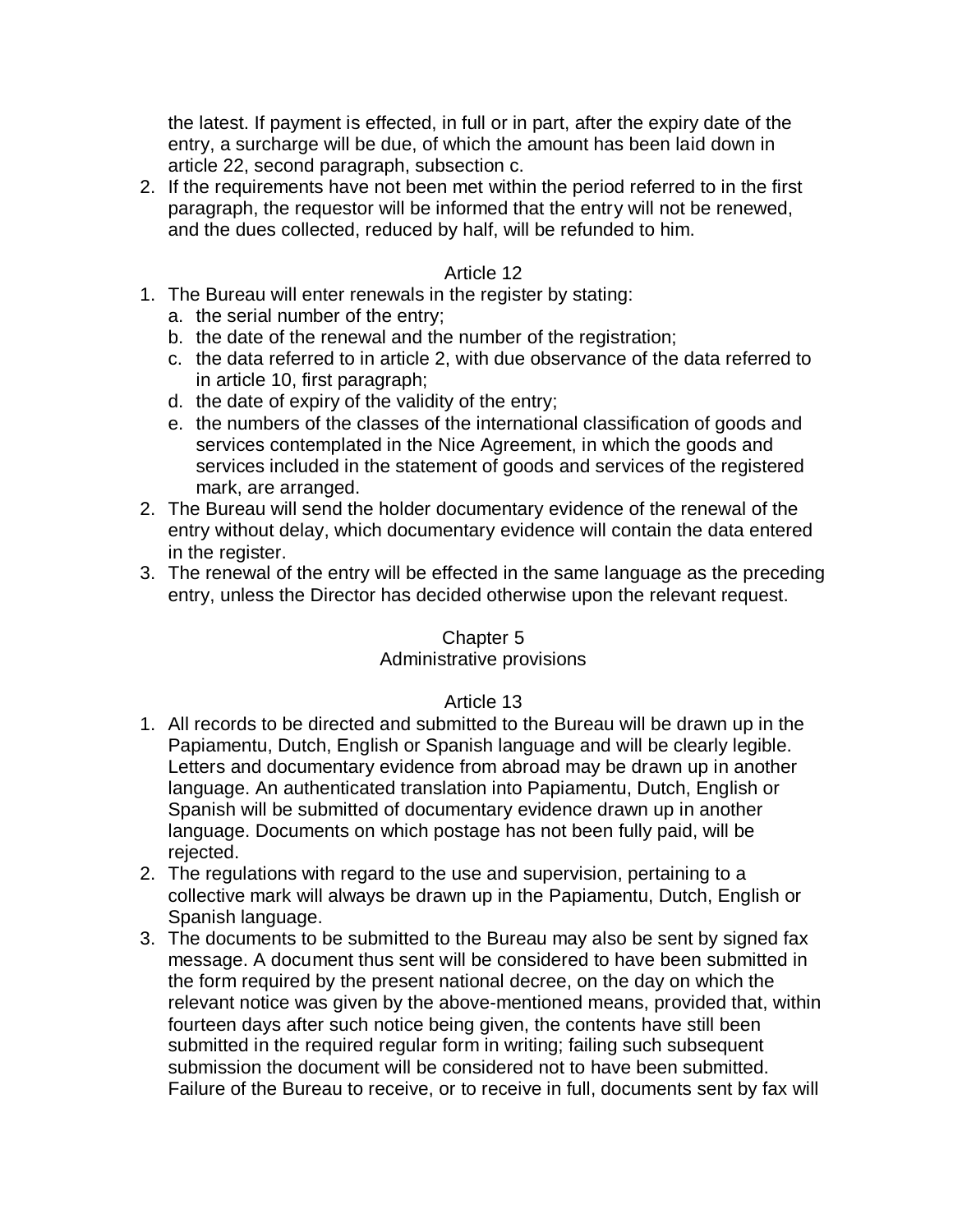the latest. If payment is effected, in full or in part, after the expiry date of the entry, a surcharge will be due, of which the amount has been laid down in article 22, second paragraph, subsection c.

2. If the requirements have not been met within the period referred to in the first paragraph, the requestor will be informed that the entry will not be renewed, and the dues collected, reduced by half, will be refunded to him.

#### Article 12

- 1. The Bureau will enter renewals in the register by stating:
	- a. the serial number of the entry;
	- b. the date of the renewal and the number of the registration;
	- c. the data referred to in article 2, with due observance of the data referred to in article 10, first paragraph;
	- d. the date of expiry of the validity of the entry;
	- e. the numbers of the classes of the international classification of goods and services contemplated in the Nice Agreement, in which the goods and services included in the statement of goods and services of the registered mark, are arranged.
- 2. The Bureau will send the holder documentary evidence of the renewal of the entry without delay, which documentary evidence will contain the data entered in the register.
- 3. The renewal of the entry will be effected in the same language as the preceding entry, unless the Director has decided otherwise upon the relevant request.

#### Chapter 5

#### Administrative provisions

- 1. All records to be directed and submitted to the Bureau will be drawn up in the Papiamentu, Dutch, English or Spanish language and will be clearly legible. Letters and documentary evidence from abroad may be drawn up in another language. An authenticated translation into Papiamentu, Dutch, English or Spanish will be submitted of documentary evidence drawn up in another language. Documents on which postage has not been fully paid, will be rejected.
- 2. The regulations with regard to the use and supervision, pertaining to a collective mark will always be drawn up in the Papiamentu, Dutch, English or Spanish language.
- 3. The documents to be submitted to the Bureau may also be sent by signed fax message. A document thus sent will be considered to have been submitted in the form required by the present national decree, on the day on which the relevant notice was given by the above-mentioned means, provided that, within fourteen days after such notice being given, the contents have still been submitted in the required regular form in writing; failing such subsequent submission the document will be considered not to have been submitted. Failure of the Bureau to receive, or to receive in full, documents sent by fax will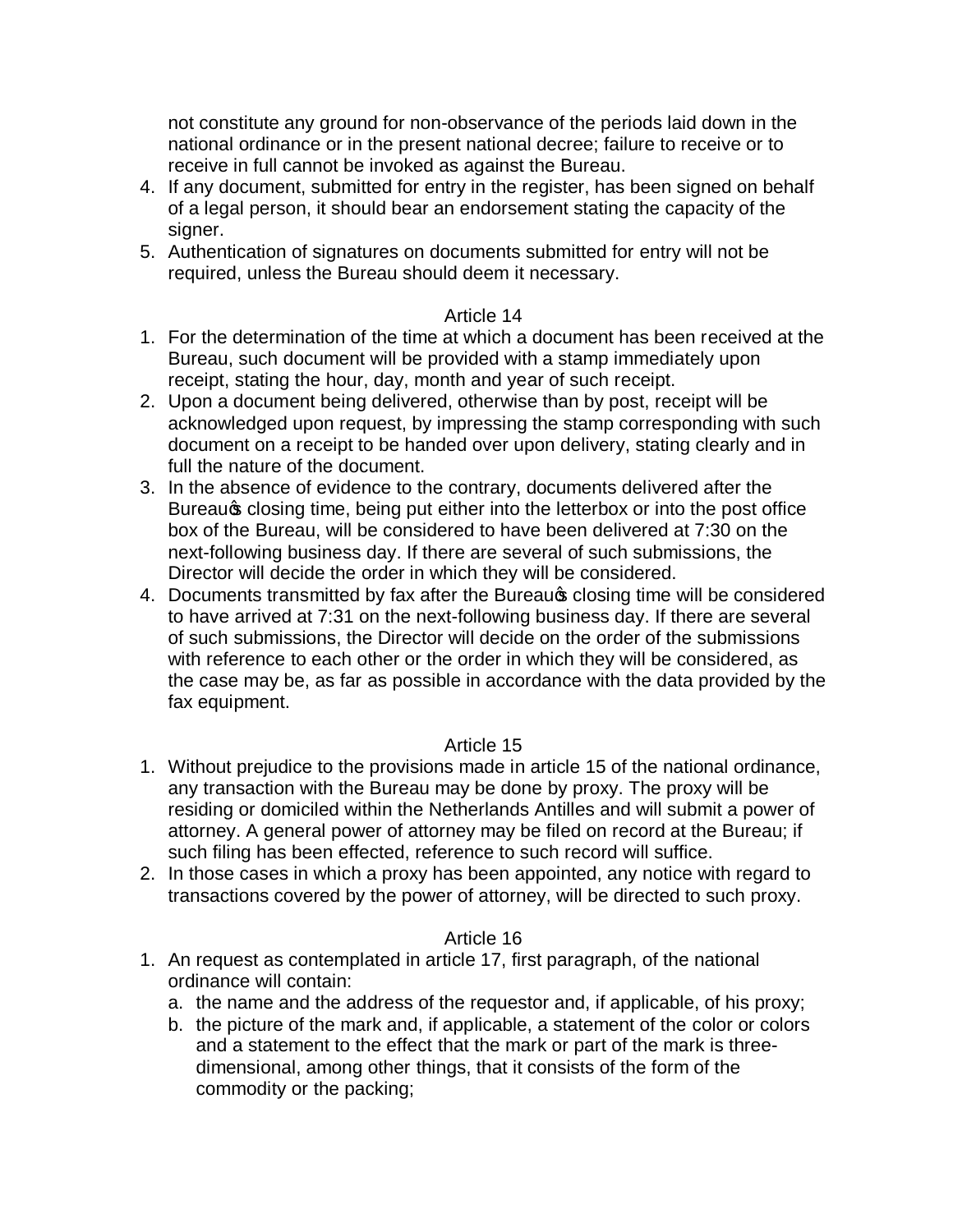not constitute any ground for non-observance of the periods laid down in the national ordinance or in the present national decree; failure to receive or to receive in full cannot be invoked as against the Bureau.

- 4. If any document, submitted for entry in the register, has been signed on behalf of a legal person, it should bear an endorsement stating the capacity of the signer.
- 5. Authentication of signatures on documents submitted for entry will not be required, unless the Bureau should deem it necessary.

#### Article 14

- 1. For the determination of the time at which a document has been received at the Bureau, such document will be provided with a stamp immediately upon receipt, stating the hour, day, month and year of such receipt.
- 2. Upon a document being delivered, otherwise than by post, receipt will be acknowledged upon request, by impressing the stamp corresponding with such document on a receipt to be handed over upon delivery, stating clearly and in full the nature of the document.
- 3. In the absence of evidence to the contrary, documents delivered after the Bureaus closing time, being put either into the letterbox or into the post office box of the Bureau, will be considered to have been delivered at 7:30 on the next-following business day. If there are several of such submissions, the Director will decide the order in which they will be considered.
- 4. Documents transmitted by fax after the Bureau closing time will be considered to have arrived at 7:31 on the next-following business day. If there are several of such submissions, the Director will decide on the order of the submissions with reference to each other or the order in which they will be considered, as the case may be, as far as possible in accordance with the data provided by the fax equipment.

### Article 15

- 1. Without prejudice to the provisions made in article 15 of the national ordinance, any transaction with the Bureau may be done by proxy. The proxy will be residing or domiciled within the Netherlands Antilles and will submit a power of attorney. A general power of attorney may be filed on record at the Bureau; if such filing has been effected, reference to such record will suffice.
- 2. In those cases in which a proxy has been appointed, any notice with regard to transactions covered by the power of attorney, will be directed to such proxy.

- 1. An request as contemplated in article 17, first paragraph, of the national ordinance will contain:
	- a. the name and the address of the requestor and, if applicable, of his proxy;
	- b. the picture of the mark and, if applicable, a statement of the color or colors and a statement to the effect that the mark or part of the mark is threedimensional, among other things, that it consists of the form of the commodity or the packing;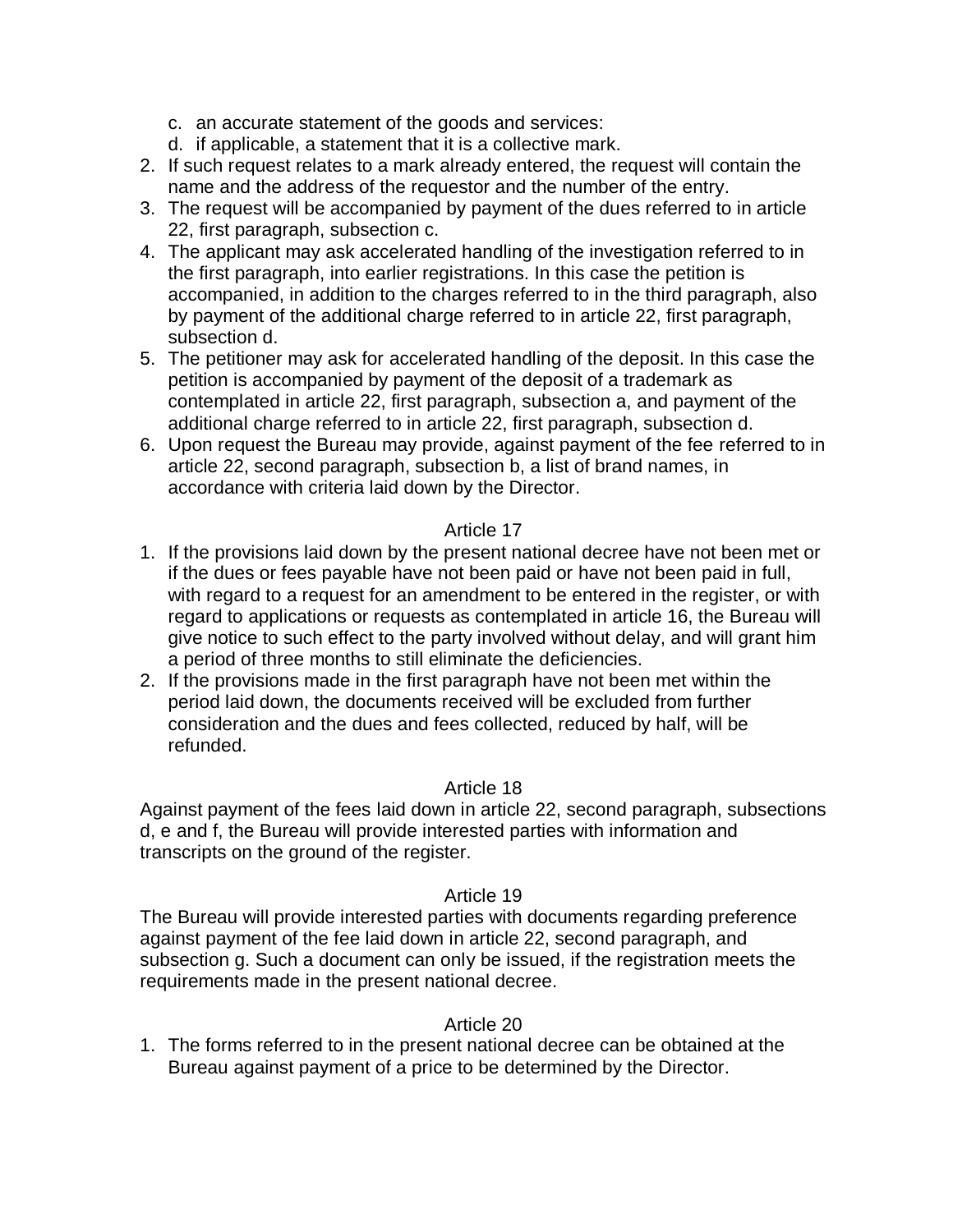- c. an accurate statement of the goods and services:
- d. if applicable, a statement that it is a collective mark.
- 2. If such request relates to a mark already entered, the request will contain the name and the address of the requestor and the number of the entry.
- 3. The request will be accompanied by payment of the dues referred to in article 22, first paragraph, subsection c.
- 4. The applicant may ask accelerated handling of the investigation referred to in the first paragraph, into earlier registrations. In this case the petition is accompanied, in addition to the charges referred to in the third paragraph, also by payment of the additional charge referred to in article 22, first paragraph, subsection d.
- 5. The petitioner may ask for accelerated handling of the deposit. In this case the petition is accompanied by payment of the deposit of a trademark as contemplated in article 22, first paragraph, subsection a, and payment of the additional charge referred to in article 22, first paragraph, subsection d.
- 6. Upon request the Bureau may provide, against payment of the fee referred to in article 22, second paragraph, subsection b, a list of brand names, in accordance with criteria laid down by the Director.

#### Article 17

- 1. If the provisions laid down by the present national decree have not been met or if the dues or fees payable have not been paid or have not been paid in full, with regard to a request for an amendment to be entered in the register, or with regard to applications or requests as contemplated in article 16, the Bureau will give notice to such effect to the party involved without delay, and will grant him a period of three months to still eliminate the deficiencies.
- 2. If the provisions made in the first paragraph have not been met within the period laid down, the documents received will be excluded from further consideration and the dues and fees collected, reduced by half, will be refunded.

#### Article 18

Against payment of the fees laid down in article 22, second paragraph, subsections d, e and f, the Bureau will provide interested parties with information and transcripts on the ground of the register.

#### Article 19

The Bureau will provide interested parties with documents regarding preference against payment of the fee laid down in article 22, second paragraph, and subsection g. Such a document can only be issued, if the registration meets the requirements made in the present national decree.

#### Article 20

1. The forms referred to in the present national decree can be obtained at the Bureau against payment of a price to be determined by the Director.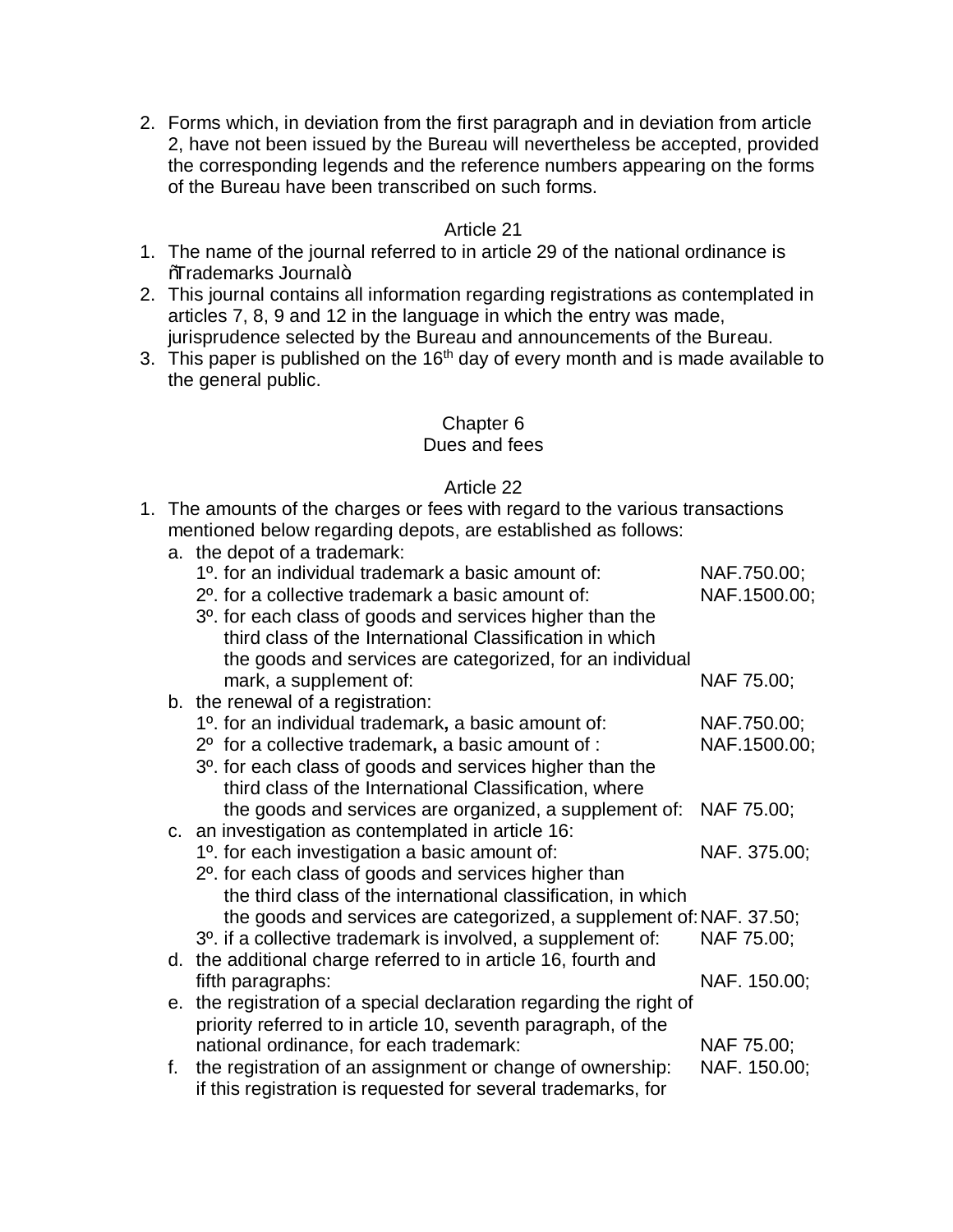2. Forms which, in deviation from the first paragraph and in deviation from article 2, have not been issued by the Bureau will nevertheless be accepted, provided the corresponding legends and the reference numbers appearing on the forms of the Bureau have been transcribed on such forms.

#### Article 21

- 1. The name of the journal referred to in article 29 of the national ordinance is **Warademarks Journal+**
- 2. This journal contains all information regarding registrations as contemplated in articles 7, 8, 9 and 12 in the language in which the entry was made, jurisprudence selected by the Bureau and announcements of the Bureau.
- 3. This paper is published on the  $16<sup>th</sup>$  day of every month and is made available to the general public.

#### Chapter 6

#### Dues and fees

- 1. The amounts of the charges or fees with regard to the various transactions mentioned below regarding depots, are established as follows:
	- a. the depot of a trademark:

|    | 1 <sup>o</sup> . for an individual trademark a basic amount of:          | NAF.750.00;  |
|----|--------------------------------------------------------------------------|--------------|
|    | 2 <sup>o</sup> . for a collective trademark a basic amount of:           | NAF.1500.00; |
|    | 3 <sup>o</sup> . for each class of goods and services higher than the    |              |
|    | third class of the International Classification in which                 |              |
|    | the goods and services are categorized, for an individual                |              |
|    | mark, a supplement of:                                                   | NAF 75.00;   |
|    | b. the renewal of a registration:                                        |              |
|    | 1 <sup>o</sup> . for an individual trademark, a basic amount of:         | NAF.750.00;  |
|    | 2 <sup>o</sup> for a collective trademark, a basic amount of :           | NAF.1500.00; |
|    | 3 <sup>o</sup> . for each class of goods and services higher than the    |              |
|    | third class of the International Classification, where                   |              |
|    | the goods and services are organized, a supplement of:                   | NAF 75.00;   |
|    | c. an investigation as contemplated in article 16:                       |              |
|    | 1 <sup>o</sup> . for each investigation a basic amount of:               | NAF. 375.00; |
|    | 2 <sup>o</sup> . for each class of goods and services higher than        |              |
|    | the third class of the international classification, in which            |              |
|    | the goods and services are categorized, a supplement of: NAF. 37.50;     |              |
|    | 3 <sup>o</sup> . if a collective trademark is involved, a supplement of: | NAF 75.00;   |
|    | d. the additional charge referred to in article 16, fourth and           |              |
|    | fifth paragraphs:                                                        | NAF. 150.00; |
|    | e. the registration of a special declaration regarding the right of      |              |
|    | priority referred to in article 10, seventh paragraph, of the            |              |
|    | national ordinance, for each trademark:                                  | NAF 75.00;   |
| f. | the registration of an assignment or change of ownership:                | NAF. 150.00; |
|    | if this registration is requested for several trademarks, for            |              |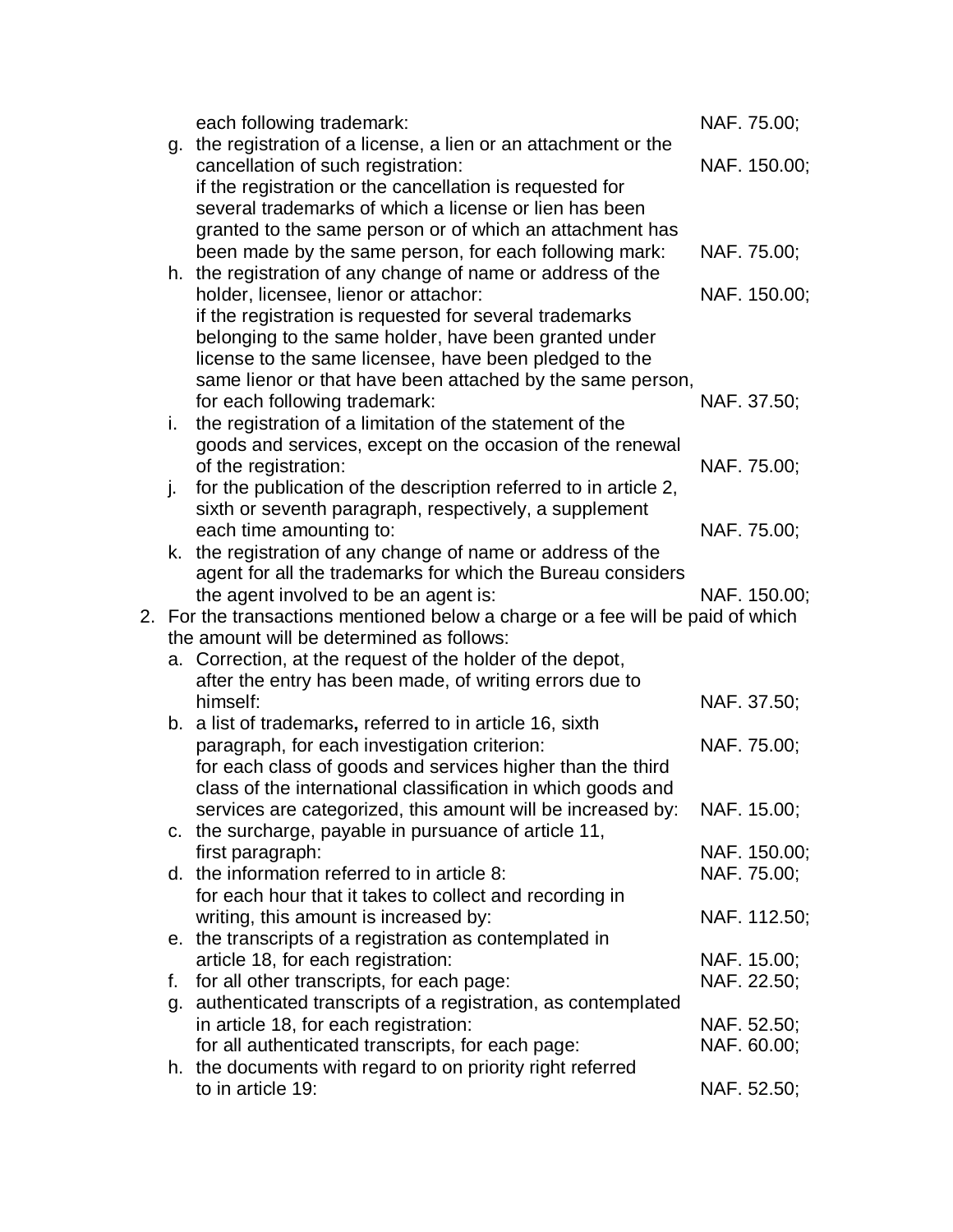|    | each following trademark:                                                                                        | NAF. 75.00;  |
|----|------------------------------------------------------------------------------------------------------------------|--------------|
|    | g. the registration of a license, a lien or an attachment or the                                                 |              |
|    | cancellation of such registration:                                                                               | NAF. 150.00; |
|    | if the registration or the cancellation is requested for                                                         |              |
|    | several trademarks of which a license or lien has been                                                           |              |
|    | granted to the same person or of which an attachment has                                                         |              |
|    | been made by the same person, for each following mark:                                                           | NAF. 75.00;  |
|    | h. the registration of any change of name or address of the                                                      |              |
|    | holder, licensee, lienor or attachor:                                                                            | NAF. 150.00; |
|    | if the registration is requested for several trademarks<br>belonging to the same holder, have been granted under |              |
|    | license to the same licensee, have been pledged to the                                                           |              |
|    | same lienor or that have been attached by the same person,                                                       |              |
|    | for each following trademark:                                                                                    | NAF. 37.50;  |
| i. | the registration of a limitation of the statement of the                                                         |              |
|    | goods and services, except on the occasion of the renewal                                                        |              |
|    | of the registration:                                                                                             | NAF. 75.00;  |
| j. | for the publication of the description referred to in article 2,                                                 |              |
|    | sixth or seventh paragraph, respectively, a supplement                                                           |              |
|    | each time amounting to:                                                                                          | NAF. 75.00;  |
|    | k. the registration of any change of name or address of the                                                      |              |
|    | agent for all the trademarks for which the Bureau considers                                                      |              |
|    | the agent involved to be an agent is:                                                                            | NAF. 150.00; |
|    | 2. For the transactions mentioned below a charge or a fee will be paid of which                                  |              |
|    | the amount will be determined as follows:<br>a. Correction, at the request of the holder of the depot,           |              |
|    | after the entry has been made, of writing errors due to                                                          |              |
|    | himself:                                                                                                         | NAF. 37.50;  |
|    | b. a list of trademarks, referred to in article 16, sixth                                                        |              |
|    | paragraph, for each investigation criterion:                                                                     | NAF. 75.00;  |
|    | for each class of goods and services higher than the third                                                       |              |
|    | class of the international classification in which goods and                                                     |              |
|    | services are categorized, this amount will be increased by:                                                      | NAF. 15.00;  |
|    | c. the surcharge, payable in pursuance of article 11,                                                            |              |
|    | first paragraph:                                                                                                 | NAF. 150.00; |
|    | d. the information referred to in article 8:                                                                     | NAF. 75.00;  |
|    | for each hour that it takes to collect and recording in                                                          |              |
|    | writing, this amount is increased by:                                                                            | NAF. 112.50; |
|    | e. the transcripts of a registration as contemplated in                                                          |              |
|    | article 18, for each registration:                                                                               | NAF. 15.00;  |
| f. | for all other transcripts, for each page:                                                                        | NAF. 22.50;  |
|    | g. authenticated transcripts of a registration, as contemplated<br>in article 18, for each registration:         | NAF. 52.50;  |
|    | for all authenticated transcripts, for each page:                                                                | NAF. 60.00;  |
|    | h. the documents with regard to on priority right referred                                                       |              |
|    | to in article 19:                                                                                                | NAF. 52.50;  |
|    |                                                                                                                  |              |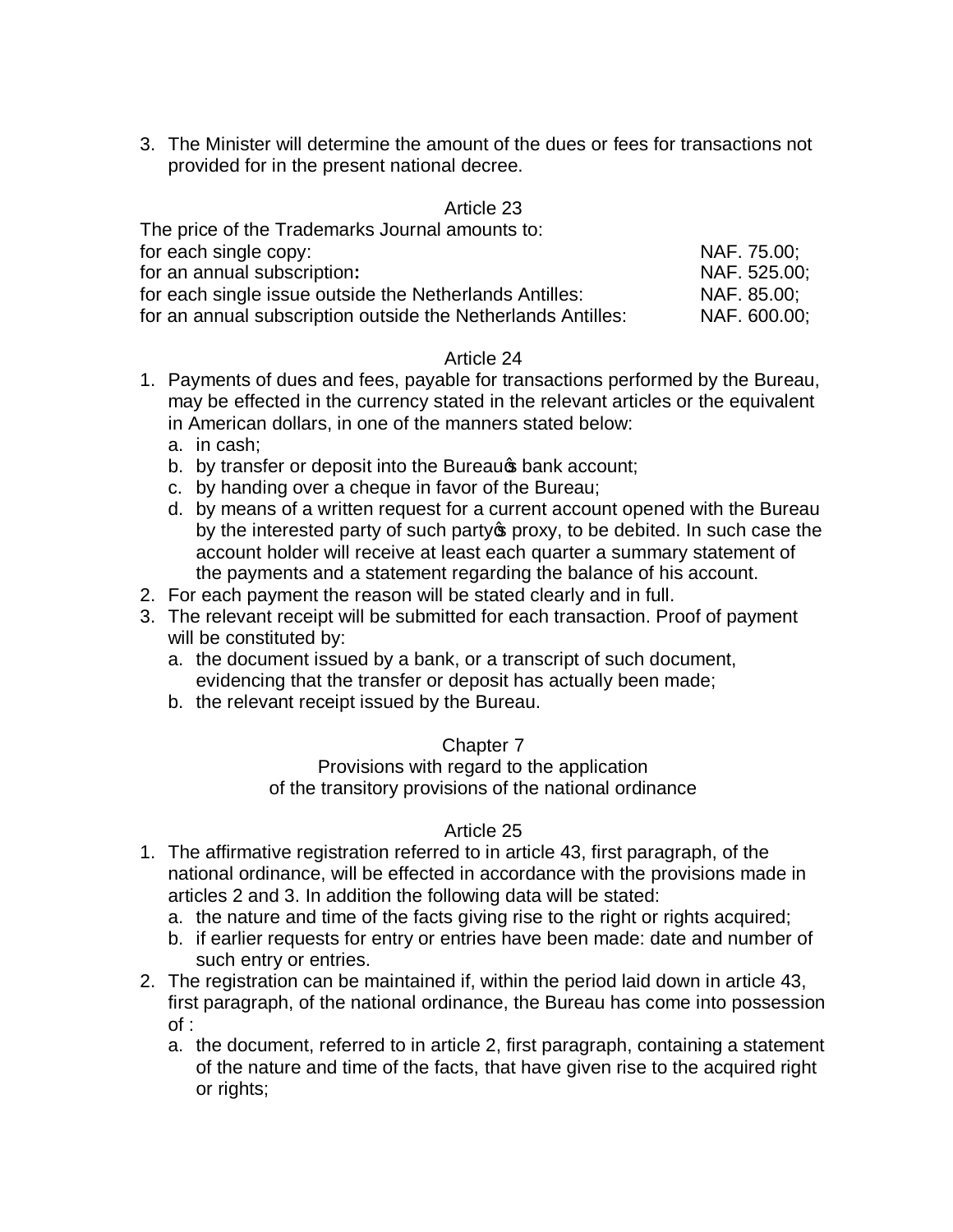3. The Minister will determine the amount of the dues or fees for transactions not provided for in the present national decree.

#### Article 23

| The price of the Trademarks Journal amounts to: |  |  |  |
|-------------------------------------------------|--|--|--|
| NAF. 75.00:                                     |  |  |  |
| NAF. 525.00:                                    |  |  |  |
| NAF. 85.00;                                     |  |  |  |
| NAF. 600.00:                                    |  |  |  |
|                                                 |  |  |  |

#### Article 24

- 1. Payments of dues and fees, payable for transactions performed by the Bureau, may be effected in the currency stated in the relevant articles or the equivalent in American dollars, in one of the manners stated below:
	- a. in cash;
	- b. by transfer or deposit into the Bureaure bank account;
	- c. by handing over a cheque in favor of the Bureau;
	- d. by means of a written request for a current account opened with the Bureau by the interested party of such party of proxy, to be debited. In such case the account holder will receive at least each quarter a summary statement of the payments and a statement regarding the balance of his account.
- 2. For each payment the reason will be stated clearly and in full.
- 3. The relevant receipt will be submitted for each transaction. Proof of payment will be constituted by:
	- a. the document issued by a bank, or a transcript of such document, evidencing that the transfer or deposit has actually been made;
	- b. the relevant receipt issued by the Bureau.

#### Chapter 7

Provisions with regard to the application of the transitory provisions of the national ordinance

- 1. The affirmative registration referred to in article 43, first paragraph, of the national ordinance, will be effected in accordance with the provisions made in articles 2 and 3. In addition the following data will be stated:
	- a. the nature and time of the facts giving rise to the right or rights acquired;
	- b. if earlier requests for entry or entries have been made: date and number of such entry or entries.
- 2. The registration can be maintained if, within the period laid down in article 43, first paragraph, of the national ordinance, the Bureau has come into possession of :
	- a. the document, referred to in article 2, first paragraph, containing a statement of the nature and time of the facts, that have given rise to the acquired right or rights;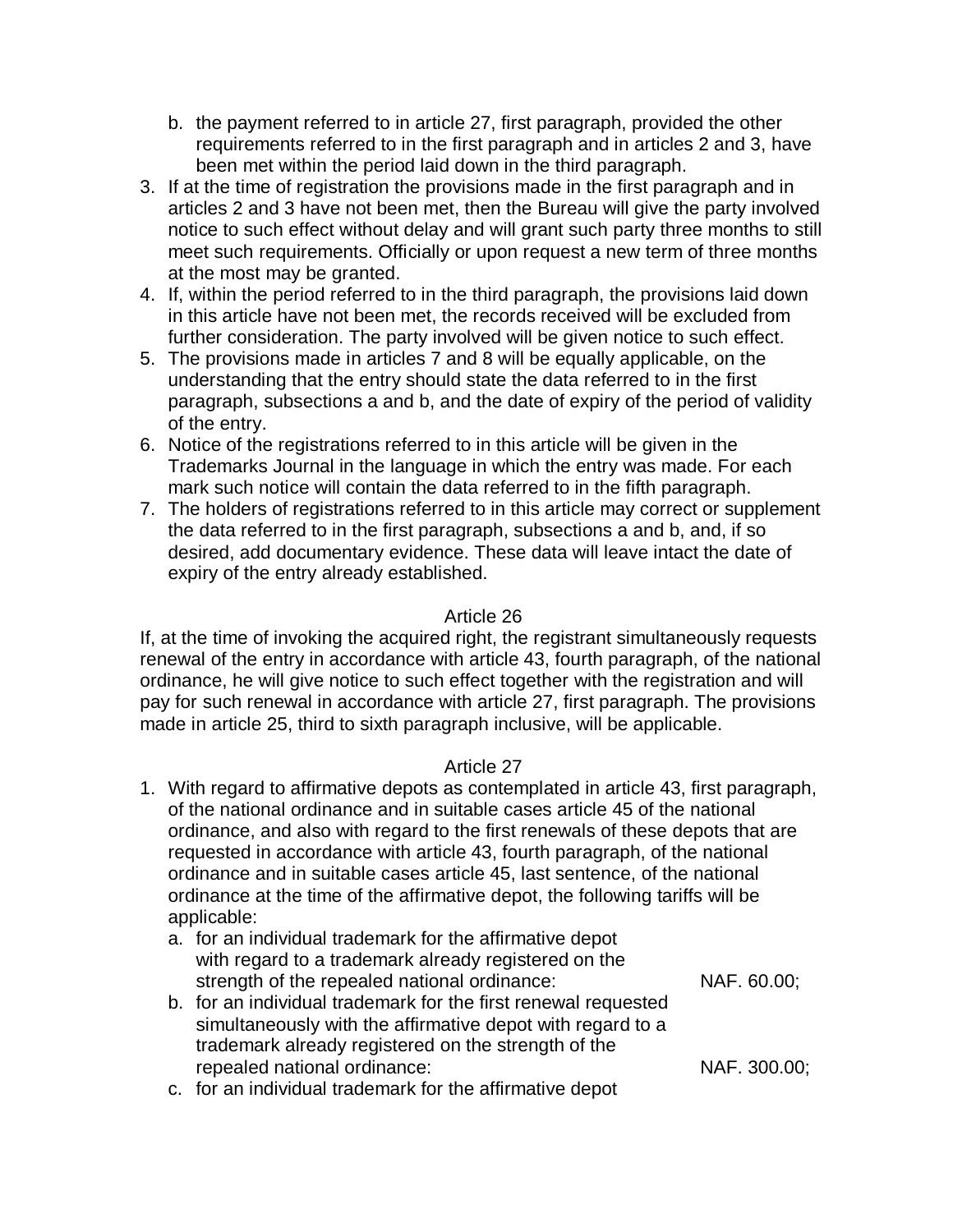- b. the payment referred to in article 27, first paragraph, provided the other requirements referred to in the first paragraph and in articles 2 and 3, have been met within the period laid down in the third paragraph.
- 3. If at the time of registration the provisions made in the first paragraph and in articles 2 and 3 have not been met, then the Bureau will give the party involved notice to such effect without delay and will grant such party three months to still meet such requirements. Officially or upon request a new term of three months at the most may be granted.
- 4. If, within the period referred to in the third paragraph, the provisions laid down in this article have not been met, the records received will be excluded from further consideration. The party involved will be given notice to such effect.
- 5. The provisions made in articles 7 and 8 will be equally applicable, on the understanding that the entry should state the data referred to in the first paragraph, subsections a and b, and the date of expiry of the period of validity of the entry.
- 6. Notice of the registrations referred to in this article will be given in the Trademarks Journal in the language in which the entry was made. For each mark such notice will contain the data referred to in the fifth paragraph.
- 7. The holders of registrations referred to in this article may correct or supplement the data referred to in the first paragraph, subsections a and b, and, if so desired, add documentary evidence. These data will leave intact the date of expiry of the entry already established.

#### Article 26

If, at the time of invoking the acquired right, the registrant simultaneously requests renewal of the entry in accordance with article 43, fourth paragraph, of the national ordinance, he will give notice to such effect together with the registration and will pay for such renewal in accordance with article 27, first paragraph. The provisions made in article 25, third to sixth paragraph inclusive, will be applicable.

- 1. With regard to affirmative depots as contemplated in article 43, first paragraph, of the national ordinance and in suitable cases article 45 of the national ordinance, and also with regard to the first renewals of these depots that are requested in accordance with article 43, fourth paragraph, of the national ordinance and in suitable cases article 45, last sentence, of the national ordinance at the time of the affirmative depot, the following tariffs will be applicable:
	- a. for an individual trademark for the affirmative depot with regard to a trademark already registered on the strength of the repealed national ordinance: NAF. 60.00;
	- b. for an individual trademark for the first renewal requested simultaneously with the affirmative depot with regard to a trademark already registered on the strength of the repealed national ordinance: NAF. 300.00;
	- c. for an individual trademark for the affirmative depot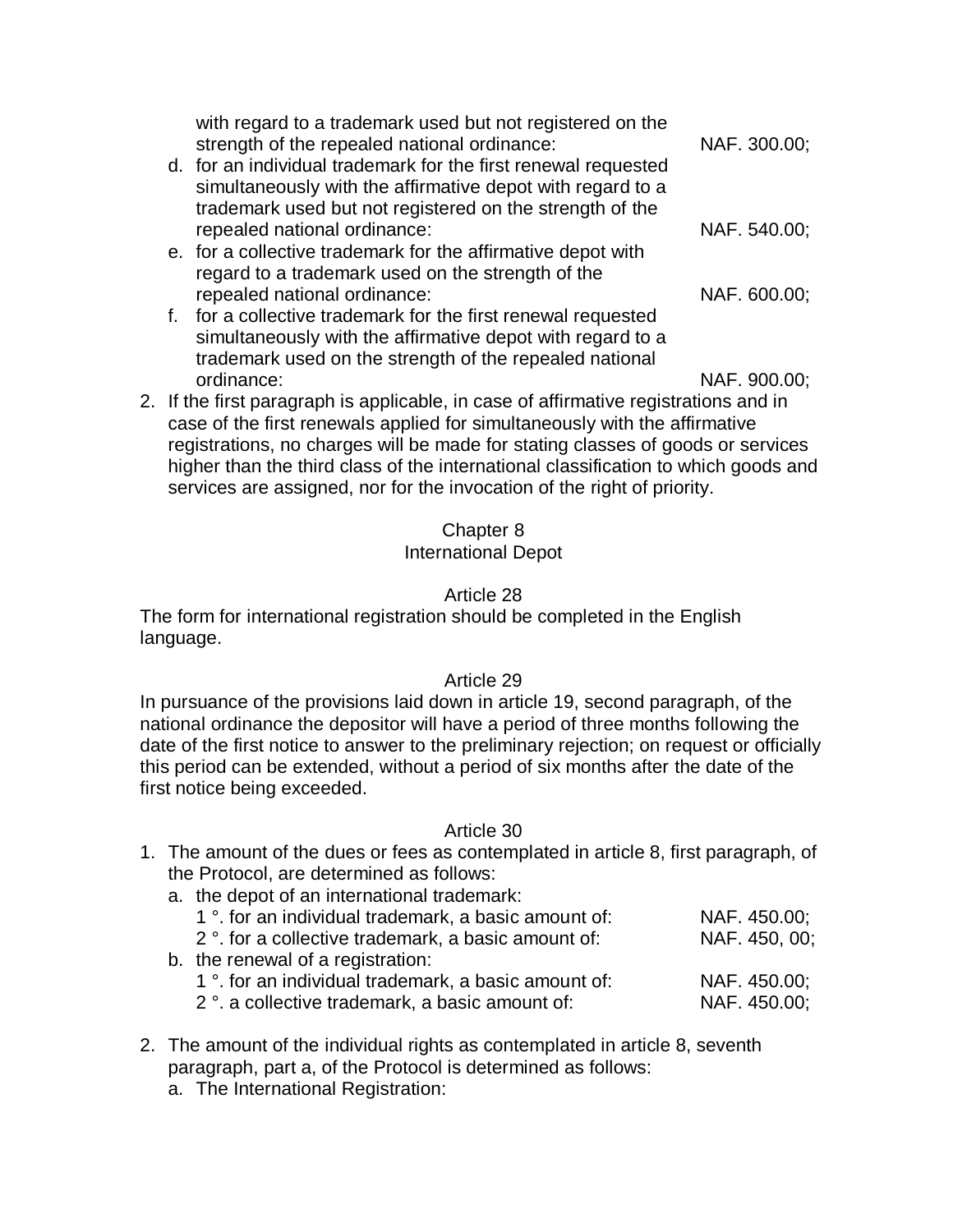| with regard to a trademark used but not registered on the<br>strength of the repealed national ordinance: | NAF. 300.00; |
|-----------------------------------------------------------------------------------------------------------|--------------|
| d. for an individual trademark for the first renewal requested                                            |              |
| simultaneously with the affirmative depot with regard to a                                                |              |
| trademark used but not registered on the strength of the                                                  |              |
| repealed national ordinance:                                                                              | NAF. 540.00; |
| e. for a collective trademark for the affirmative depot with                                              |              |
| regard to a trademark used on the strength of the                                                         |              |
| repealed national ordinance:                                                                              | NAF. 600.00; |
| f. for a collective trademark for the first renewal requested                                             |              |
| simultaneously with the affirmative depot with regard to a                                                |              |

ordinance: NAF. 900.00; 2. If the first paragraph is applicable, in case of affirmative registrations and in case of the first renewals applied for simultaneously with the affirmative registrations, no charges will be made for stating classes of goods or services higher than the third class of the international classification to which goods and services are assigned, nor for the invocation of the right of priority.

trademark used on the strength of the repealed national

#### Chapter 8

#### International Depot

#### Article 28

The form for international registration should be completed in the English language.

#### Article 29

In pursuance of the provisions laid down in article 19, second paragraph, of the national ordinance the depositor will have a period of three months following the date of the first notice to answer to the preliminary rejection; on request or officially this period can be extended, without a period of six months after the date of the first notice being exceeded.

- 1. The amount of the dues or fees as contemplated in article 8, first paragraph, of the Protocol, are determined as follows:
	- a. the depot of an international trademark:

| 1 °. for an individual trademark, a basic amount of:            | NAF. 450.00;                      |
|-----------------------------------------------------------------|-----------------------------------|
| 2 <sup>°</sup> . for a collective trademark, a basic amount of: | NAF. 450, 00;                     |
|                                                                 |                                   |
| 1 °. for an individual trademark, a basic amount of:            | NAF. 450.00;                      |
| 2 <sup>°</sup> . a collective trademark, a basic amount of:     | NAF. 450.00;                      |
|                                                                 | b. the renewal of a registration: |

- 2. The amount of the individual rights as contemplated in article 8, seventh paragraph, part a, of the Protocol is determined as follows:
	- a. The International Registration: